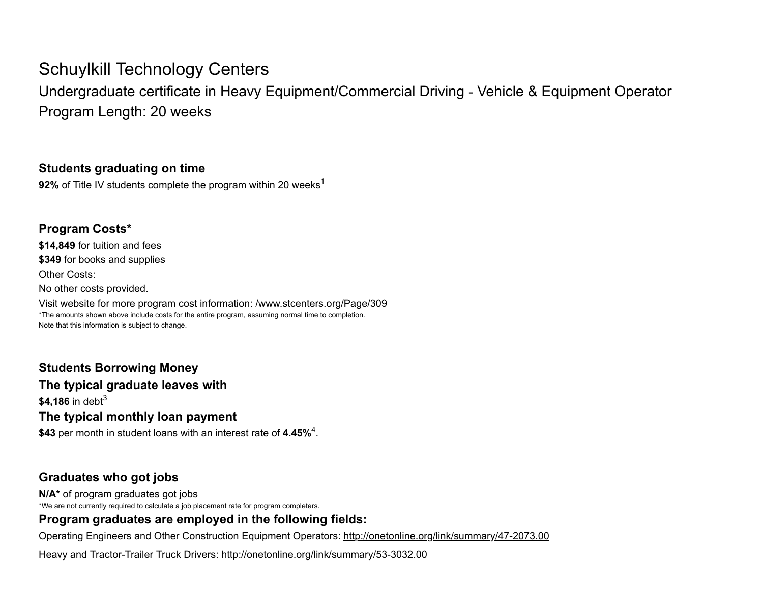# Schuylkill Technology Centers

Undergraduate certificate in Heavy Equipment/Commercial Driving ‑ Vehicle & Equipment Operator Program Length: 20 weeks

#### Students graduating on time

**92%** of Title IV students complete the program within 20 weeks<sup>1</sup>

### Program Costs\*

\$14,849 for tuition and fees \$349 for books and supplies Other Costs: No other costs provided. Visit website for more program cost information: /www.stcenters.org/Page/309 \*The amounts shown above include costs for the entire program, assuming normal time to completion.

Note that this information is subject to change.

## Students Borrowing Money The typical graduate leaves with  $$4,186$  in debt $^3$ The typical monthly loan payment

\$43 per month in student loans with an interest rate of 4.45% $^4$ .

#### Graduates who got jobs

N/A\* of program graduates got jobs \*We are not currently required to calculate a job placement rate for program completers.

### Program graduates are employed in the following fields:

Operating Engineers and Other Construction Equipment Operators: http://onetonline.org/link/summary/47-2073.00

Heavy and Tractor-Trailer Truck Drivers: http://onetonline.org/link/summary/53-3032.00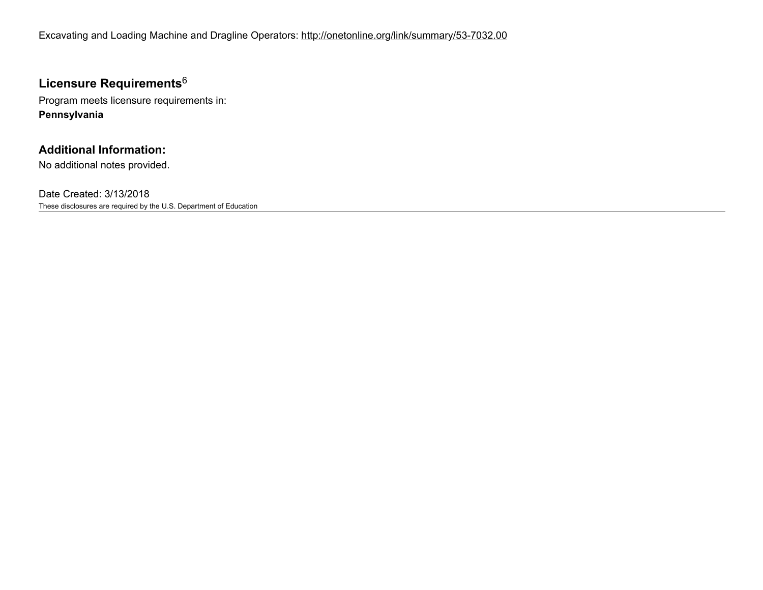Excavating and Loading Machine and Dragline Operators: http://onetonline.org/link/summary/53-7032.00

#### Licensure Requirements $^6$

Program meets licensure requirements in: Pennsylvania

#### Additional Information:

No additional notes provided.

Date Created: 3/13/2018 These disclosures are required by the U.S. Department of Education